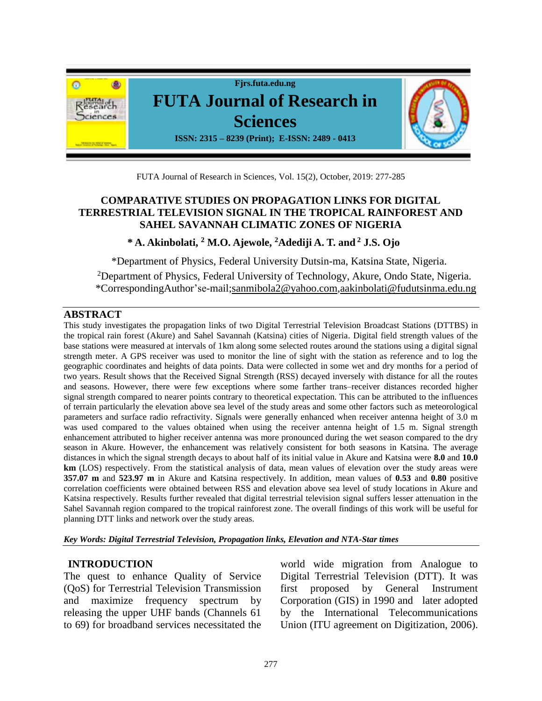

FUTA Journal of Research in Sciences, Vol. 15(2), October, 2019: 277-285

## **COMPARATIVE STUDIES ON PROPAGATION LINKS FOR DIGITAL TERRESTRIAL TELEVISION SIGNAL IN THE TROPICAL RAINFOREST AND SAHEL SAVANNAH CLIMATIC ZONES OF NIGERIA**

**\* A. Akinbolati, <sup>2</sup> M.O. Ajewole, <sup>2</sup>Adediji A. T. and <sup>2</sup> J.S. Ojo** 

\*Department of Physics, Federal University Dutsin-ma, Katsina State, Nigeria.

<sup>2</sup>Department of Physics, Federal University of Technology, Akure, Ondo State, Nigeria. \*CorrespondingAuthor'se-mail[;sanmibola2@yahoo.com,](mailto:sanmibola2@yahoo.com)[aakinbolati@fudutsinma.edu.ng](mailto:aakinbolati@fudutsinma.edu.ng) 

### **ABSTRACT**

This study investigates the propagation links of two Digital Terrestrial Television Broadcast Stations (DTTBS) in the tropical rain forest (Akure) and Sahel Savannah (Katsina) cities of Nigeria. Digital field strength values of the base stations were measured at intervals of 1km along some selected routes around the stations using a digital signal strength meter. A GPS receiver was used to monitor the line of sight with the station as reference and to log the geographic coordinates and heights of data points. Data were collected in some wet and dry months for a period of two years. Result shows that the Received Signal Strength (RSS) decayed inversely with distance for all the routes and seasons. However, there were few exceptions where some farther trans–receiver distances recorded higher signal strength compared to nearer points contrary to theoretical expectation. This can be attributed to the influences of terrain particularly the elevation above sea level of the study areas and some other factors such as meteorological parameters and surface radio refractivity. Signals were generally enhanced when receiver antenna height of 3.0 m was used compared to the values obtained when using the receiver antenna height of 1.5 m. Signal strength enhancement attributed to higher receiver antenna was more pronounced during the wet season compared to the dry season in Akure. However, the enhancement was relatively consistent for both seasons in Katsina. The average distances in which the signal strength decays to about half of its initial value in Akure and Katsina were **8.0** and **10.0 km** (LOS) respectively. From the statistical analysis of data, mean values of elevation over the study areas were **357.07 m** and **523.97 m** in Akure and Katsina respectively. In addition, mean values of **0.53** and **0.80** positive correlation coefficients were obtained between RSS and elevation above sea level of study locations in Akure and Katsina respectively. Results further revealed that digital terrestrial television signal suffers lesser attenuation in the Sahel Savannah region compared to the tropical rainforest zone. The overall findings of this work will be useful for planning DTT links and network over the study areas.

*Key Words: Digital Terrestrial Television, Propagation links, Elevation and NTA-Star times* 

### **INTRODUCTION**

The quest to enhance Quality of Service (QoS) for Terrestrial Television Transmission and maximize frequency spectrum by releasing the upper UHF bands (Channels 61 to 69) for broadband services necessitated the

world wide migration from Analogue to Digital Terrestrial Television (DTT). It was first proposed by General Instrument Corporation (GIS) in 1990 and later adopted by the International Telecommunications Union (ITU agreement on Digitization, 2006).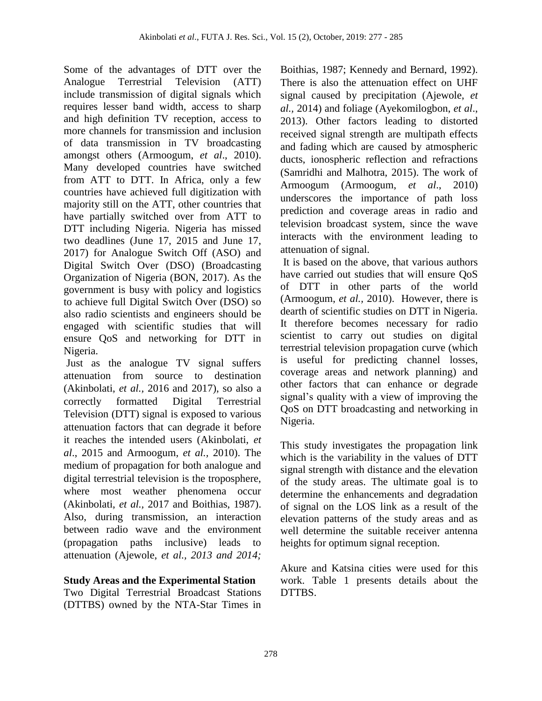Some of the advantages of DTT over the Analogue Terrestrial Television (ATT) include transmission of digital signals which requires lesser band width, access to sharp and high definition TV reception, access to more channels for transmission and inclusion of data transmission in TV broadcasting amongst others (Armoogum, *et al*., 2010). Many developed countries have switched from ATT to DTT. In Africa, only a few countries have achieved full digitization with majority still on the ATT, other countries that have partially switched over from ATT to DTT including Nigeria. Nigeria has missed two deadlines (June 17, 2015 and June 17, 2017) for Analogue Switch Off (ASO) and Digital Switch Over (DSO) (Broadcasting Organization of Nigeria (BON, 2017). As the government is busy with policy and logistics to achieve full Digital Switch Over (DSO) so also radio scientists and engineers should be engaged with scientific studies that will ensure QoS and networking for DTT in Nigeria.

Just as the analogue TV signal suffers attenuation from source to destination (Akinbolati, *et al.,* 2016 and 2017), so also a correctly formatted Digital Terrestrial Television (DTT) signal is exposed to various attenuation factors that can degrade it before it reaches the intended users (Akinbolati, *et al*., 2015 and Armoogum, *et al.,* 2010). The medium of propagation for both analogue and digital terrestrial television is the troposphere, where most weather phenomena occur (Akinbolati, *et al.,* 2017 and Boithias, 1987). Also, during transmission, an interaction between radio wave and the environment (propagation paths inclusive) leads to attenuation (Ajewole, *et al., 2013 and 2014;* 

### **Study Areas and the Experimental Station**

Two Digital Terrestrial Broadcast Stations (DTTBS) owned by the NTA-Star Times in

Boithias, 1987; Kennedy and Bernard, 1992). There is also the attenuation effect on UHF signal caused by precipitation (Ajewole, *et al.,* 2014) and foliage (Ayekomilogbon, *et al*., 2013). Other factors leading to distorted received signal strength are multipath effects and fading which are caused by atmospheric ducts, ionospheric reflection and refractions (Samridhi and Malhotra, 2015). The work of Armoogum (Armoogum, *et al*., 2010) underscores the importance of path loss prediction and coverage areas in radio and television broadcast system, since the wave interacts with the environment leading to attenuation of signal.

It is based on the above, that various authors have carried out studies that will ensure QoS of DTT in other parts of the world (Armoogum, *et al.,* 2010). However, there is dearth of scientific studies on DTT in Nigeria. It therefore becomes necessary for radio scientist to carry out studies on digital terrestrial television propagation curve (which is useful for predicting channel losses, coverage areas and network planning) and other factors that can enhance or degrade signal's quality with a view of improving the QoS on DTT broadcasting and networking in Nigeria.

This study investigates the propagation link which is the variability in the values of DTT signal strength with distance and the elevation of the study areas. The ultimate goal is to determine the enhancements and degradation of signal on the LOS link as a result of the elevation patterns of the study areas and as well determine the suitable receiver antenna heights for optimum signal reception.

Akure and Katsina cities were used for this work. Table 1 presents details about the DTTBS.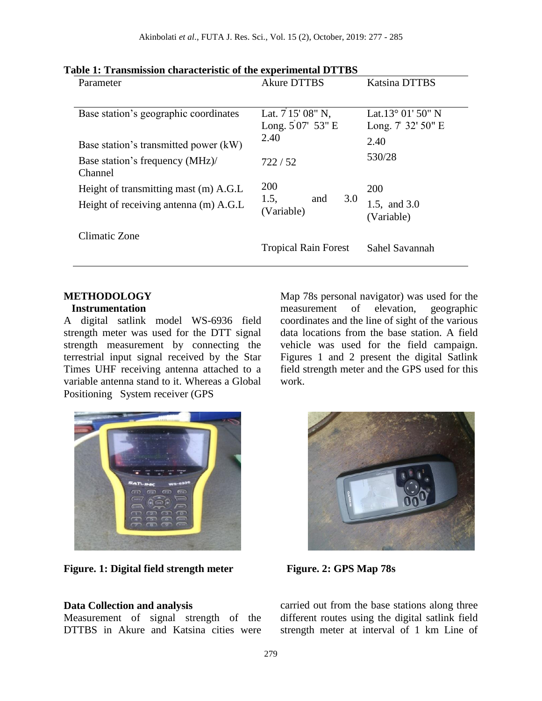| Parameter                                                                      | <b>Akure DTTBS</b>                                | Katsina DTTBS                                                      |
|--------------------------------------------------------------------------------|---------------------------------------------------|--------------------------------------------------------------------|
| Base station's geographic coordinates<br>Base station's transmitted power (kW) | Lat. $7'15'08''$ N,<br>Long. $507'$ 53" E<br>2.40 | Lat. $13^{\circ}$ 01' 50" N<br>Long. $7 \frac{32!}{50!}$ E<br>2.40 |
| Base station's frequency (MHz)/<br>Channel                                     | 722/52                                            | 530/28                                                             |
| Height of transmitting mast (m) A.G.L<br>Height of receiving antenna (m) A.G.L | 200<br>1.5,<br>3.0<br>and<br>(Variable)           | <b>200</b><br>1.5, and 3.0<br>(Variable)                           |
| Climatic Zone                                                                  | <b>Tropical Rain Forest</b>                       | Sahel Savannah                                                     |

## **METHODOLOGY**

#### **Instrumentation**

A digital satlink model WS-6936 field strength meter was used for the DTT signal strength measurement by connecting the terrestrial input signal received by the Star Times UHF receiving antenna attached to a variable antenna stand to it. Whereas a Global Positioning System receiver (GPS



**Figure. 1: Digital field strength meter**

### **Data Collection and analysis**

Measurement of signal strength of the DTTBS in Akure and Katsina cities were

Map 78s personal navigator) was used for the measurement of elevation, geographic coordinates and the line of sight of the various data locations from the base station. A field vehicle was used for the field campaign. Figures 1 and 2 present the digital Satlink field strength meter and the GPS used for this work.



**Figure. 2: GPS Map 78s** 

carried out from the base stations along three different routes using the digital satlink field strength meter at interval of 1 km Line of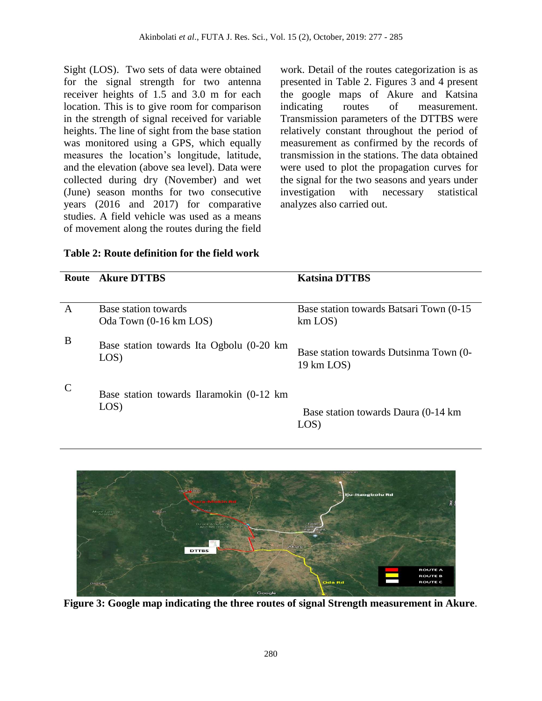Sight (LOS). Two sets of data were obtained for the signal strength for two antenna receiver heights of 1.5 and 3.0 m for each location. This is to give room for comparison in the strength of signal received for variable heights. The line of sight from the base station was monitored using a GPS, which equally measures the location's longitude, latitude, and the elevation (above sea level). Data were collected during dry (November) and wet (June) season months for two consecutive years (2016 and 2017) for comparative studies. A field vehicle was used as a means of movement along the routes during the field work. Detail of the routes categorization is as presented in Table 2. Figures 3 and 4 present the google maps of Akure and Katsina indicating routes of measurement. Transmission parameters of the DTTBS were relatively constant throughout the period of measurement as confirmed by the records of transmission in the stations. The data obtained were used to plot the propagation curves for the signal for the two seasons and years under investigation with necessary statistical analyzes also carried out.

| Table 2: Route definition for the field work |  |  |  |
|----------------------------------------------|--|--|--|
|----------------------------------------------|--|--|--|

|               | <b>Route</b> Akure DTTBS                          | <b>Katsina DTTBS</b>                                     |
|---------------|---------------------------------------------------|----------------------------------------------------------|
|               |                                                   |                                                          |
| A             | Base station towards<br>Oda Town (0-16 km LOS)    | Base station towards Batsari Town (0-15)<br>$km$ LOS $)$ |
| B             | Base station towards Ita Ogbolu (0-20 km<br>LOS)  | Base station towards Dutsinma Town (0-<br>19 km LOS)     |
| $\mathcal{C}$ | Base station towards Ilaramokin (0-12 km)<br>LOS) | Base station towards Daura (0-14 km)<br>LOS)             |



**Figure 3: Google map indicating the three routes of signal Strength measurement in Akure**.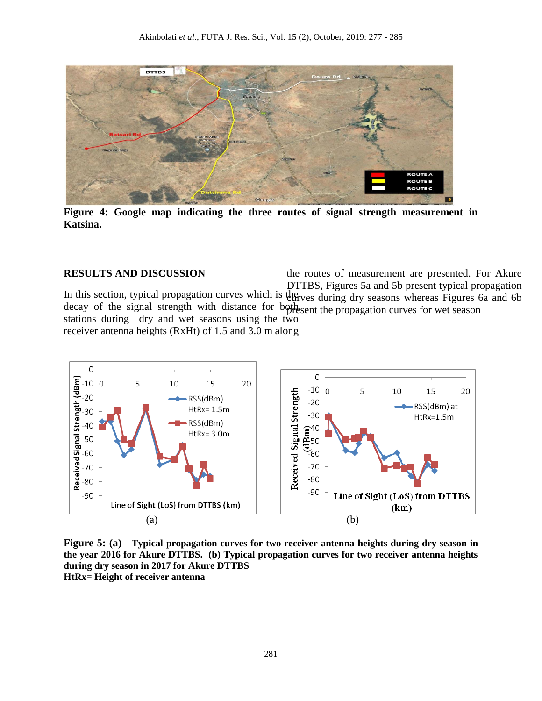

**Figure 4: Google map indicating the three routes of signal strength measurement in Katsina.**

## **RESULTS AND DISCUSSION**

In this section, typical propagation curves which is the ves during dry seasons whereas Figures 6a and 6b decay of the signal strength with distance for both search the propagation curves for wet season stations during dry and wet seasons using the two receiver antenna heights (RxHt) of 1.5 and 3.0 m along the routes of measurement are presented. For Akure DTTBS, Figures 5a and 5b present typical propagation



**Figure 5: (a) Typical propagation curves for two receiver antenna heights during dry season in the year 2016 for Akure DTTBS. (b) Typical propagation curves for two receiver antenna heights during dry season in 2017 for Akure DTTBS HtRx= Height of receiver antenna**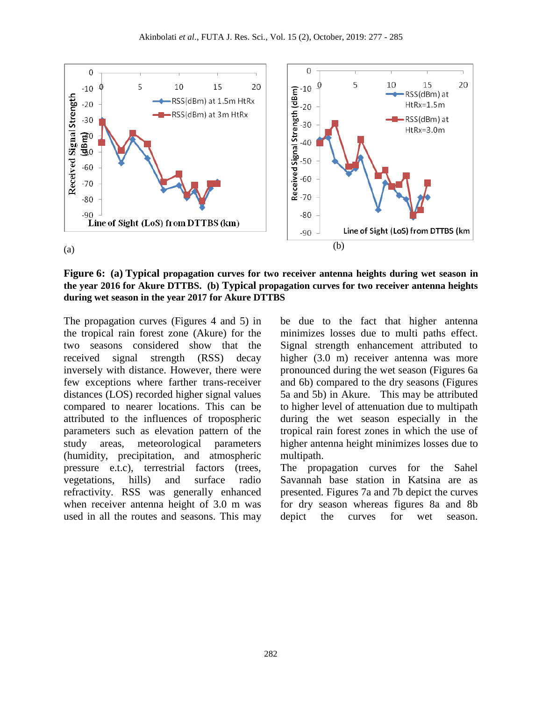

**Figure 6: (a) Typical propagation curves for two receiver antenna heights during wet season in the year 2016 for Akure DTTBS. (b) Typical propagation curves for two receiver antenna heights during wet season in the year 2017 for Akure DTTBS** 

The propagation curves (Figures 4 and 5) in the tropical rain forest zone (Akure) for the two seasons considered show that the received signal strength (RSS) decay inversely with distance. However, there were few exceptions where farther trans-receiver distances (LOS) recorded higher signal values compared to nearer locations. This can be attributed to the influences of tropospheric parameters such as elevation pattern of the study areas, meteorological parameters (humidity, precipitation, and atmospheric pressure e.t.c), terrestrial factors (trees, vegetations, hills) and surface radio refractivity. RSS was generally enhanced when receiver antenna height of 3.0 m was used in all the routes and seasons. This may be due to the fact that higher antenna minimizes losses due to multi paths effect. Signal strength enhancement attributed to higher (3.0 m) receiver antenna was more pronounced during the wet season (Figures 6a and 6b) compared to the dry seasons (Figures 5a and 5b) in Akure. This may be attributed to higher level of attenuation due to multipath during the wet season especially in the tropical rain forest zones in which the use of higher antenna height minimizes losses due to multipath.

The propagation curves for the Sahel Savannah base station in Katsina are as presented. Figures 7a and 7b depict the curves for dry season whereas figures 8a and 8b depict the curves for wet season.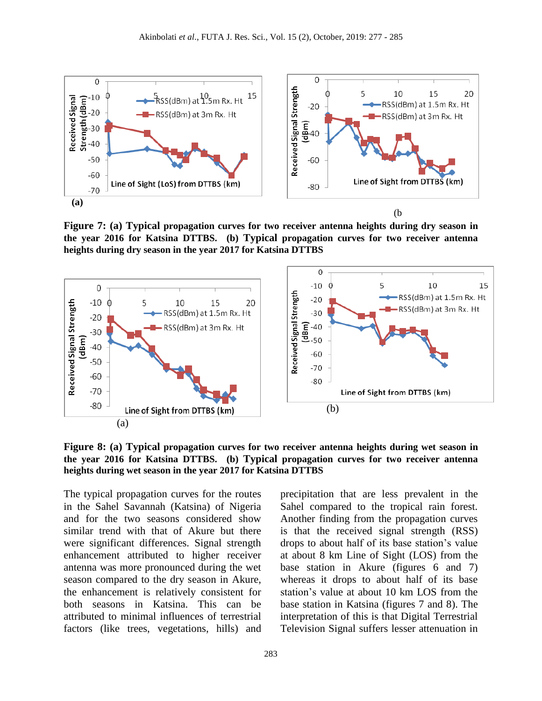

**Figure 7: (a) Typical propagation curves for two receiver antenna heights during dry season in the year 2016 for Katsina DTTBS. (b) Typical propagation curves for two receiver antenna heights during dry season in the year 2017 for Katsina DTTBS**



**Figure 8: (a) Typical propagation curves for two receiver antenna heights during wet season in the year 2016 for Katsina DTTBS. (b) Typical propagation curves for two receiver antenna heights during wet season in the year 2017 for Katsina DTTBS** 

The typical propagation curves for the routes in the Sahel Savannah (Katsina) of Nigeria and for the two seasons considered show similar trend with that of Akure but there were significant differences. Signal strength enhancement attributed to higher receiver antenna was more pronounced during the wet season compared to the dry season in Akure, the enhancement is relatively consistent for both seasons in Katsina. This can be attributed to minimal influences of terrestrial factors (like trees, vegetations, hills) and precipitation that are less prevalent in the Sahel compared to the tropical rain forest. Another finding from the propagation curves is that the received signal strength (RSS) drops to about half of its base station's value at about 8 km Line of Sight (LOS) from the base station in Akure (figures 6 and 7) whereas it drops to about half of its base station's value at about 10 km LOS from the base station in Katsina (figures 7 and 8). The interpretation of this is that Digital Terrestrial Television Signal suffers lesser attenuation in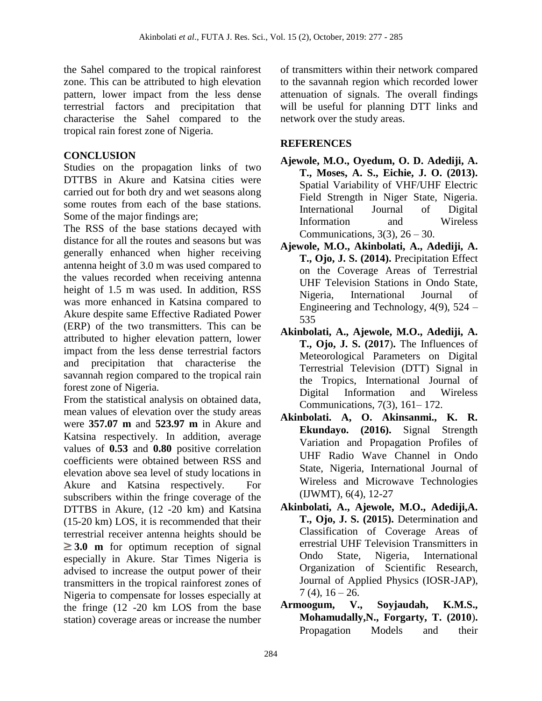the Sahel compared to the tropical rainforest zone. This can be attributed to high elevation pattern, lower impact from the less dense terrestrial factors and precipitation that characterise the Sahel compared to the tropical rain forest zone of Nigeria.

### **CONCLUSION**

Studies on the propagation links of two DTTBS in Akure and Katsina cities were carried out for both dry and wet seasons along some routes from each of the base stations. Some of the major findings are;

The RSS of the base stations decayed with distance for all the routes and seasons but was generally enhanced when higher receiving antenna height of 3.0 m was used compared to the values recorded when receiving antenna height of 1.5 m was used. In addition, RSS was more enhanced in Katsina compared to Akure despite same Effective Radiated Power (ERP) of the two transmitters. This can be attributed to higher elevation pattern, lower impact from the less dense terrestrial factors and precipitation that characterise the savannah region compared to the tropical rain forest zone of Nigeria.

From the statistical analysis on obtained data, mean values of elevation over the study areas were **357.07 m** and **523.97 m** in Akure and Katsina respectively. In addition, average values of **0.53** and **0.80** positive correlation coefficients were obtained between RSS and elevation above sea level of study locations in Akure and Katsina respectively. For subscribers within the fringe coverage of the DTTBS in Akure, (12 -20 km) and Katsina (15-20 km) LOS, it is recommended that their terrestrial receiver antenna heights should be  $\geq 3.0$  **m** for optimum reception of signal especially in Akure. Star Times Nigeria is advised to increase the output power of their transmitters in the tropical rainforest zones of Nigeria to compensate for losses especially at the fringe (12 -20 km LOS from the base station) coverage areas or increase the number of transmitters within their network compared to the savannah region which recorded lower attenuation of signals. The overall findings will be useful for planning DTT links and network over the study areas.

# **REFERENCES**

- **Ajewole, M.O., Oyedum, O. D. Adediji, A. T., Moses, A. S., Eichie, J. O. (2013).** Spatial Variability of VHF/UHF Electric Field Strength in Niger State, Nigeria. International Journal of Digital Information and Wireless Communications,  $3(3)$ ,  $26 - 30$ .
- **Ajewole, M.O., Akinbolati, A., Adediji, A. T., Ojo, J. S. (2014).** Precipitation Effect on the Coverage Areas of Terrestrial UHF Television Stations in Ondo State, Nigeria, International Journal of Engineering and Technology, 4(9), 524 – 535
- **Akinbolati, A., Ajewole, M.O., Adediji, A. T., Ojo, J. S. (2017**)**.** The Influences of Meteorological Parameters on Digital Terrestrial Television (DTT) Signal in the Tropics, International Journal of Digital Information and Wireless Communications, 7(3), 161– 172.
- **Akinbolati. A, O. Akinsanmi., K. R. Ekundayo. (2016).** Signal Strength Variation and Propagation Profiles of UHF Radio Wave Channel in Ondo State, Nigeria, International Journal of Wireless and Microwave Technologies (IJWMT), 6(4), 12-27
- **Akinbolati, A., Ajewole, M.O., Adediji,A. T., Ojo, J. S. (2015).** Determination and Classification of Coverage Areas of errestrial UHF Television Transmitters in Ondo State, Nigeria, International Organization of Scientific Research, Journal of Applied Physics (IOSR-JAP),  $7(4)$ ,  $16 - 26$ .
- **Armoogum, V., Soyjaudah, K.M.S., Mohamudally,N., Forgarty, T. (2010**)**.** Propagation Models and their